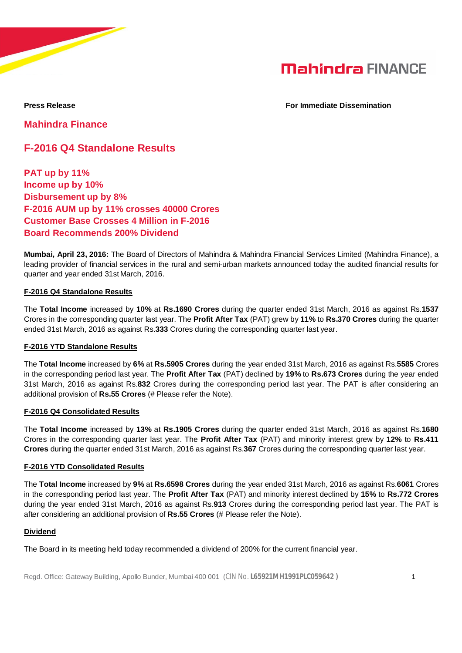

**Press Release For Immediate Dissemination**

**Mahindra Finance**

## **F-2016 Q4 Standalone Results**

**PAT up by 11% Income up by 10% Disbursement up by 8% F-2016 AUM up by 11% crosses 40000 Crores Customer Base Crosses 4 Million in F-2016 Board Recommends 200% Dividend**

**Mumbai, April 23, 2016:** The Board of Directors of Mahindra & Mahindra Financial Services Limited (Mahindra Finance), a leading provider of financial services in the rural and semi-urban markets announced today the audited financial results for quarter and year ended 31st March, 2016.

## **F-2016 Q4 Standalone Results**

The **Total Income** increased by **10%** at **Rs.1690 Crores** during the quarter ended 31st March, 2016 as against Rs.**1537** Crores in the corresponding quarter last year. The **Profit After Tax** (PAT) grew by **11%** to **Rs.370 Crores** during the quarter ended 31st March, 2016 as against Rs.**333** Crores during the corresponding quarter last year.

## **F-2016 YTD Standalone Results**

The **Total Income** increased by **6%** at **Rs.5905 Crores** during the year ended 31st March, 2016 as against Rs.**5585** Crores in the corresponding period last year. The **Profit After Tax** (PAT) declined by **19%** to **Rs.673 Crores** during the year ended 31st March, 2016 as against Rs.**832** Crores during the corresponding period last year. The PAT is after considering an additional provision of **Rs.55 Crores** (# Please refer the Note).

## **F-2016 Q4 Consolidated Results**

The **Total Income** increased by **13%** at **Rs.1905 Crores** during the quarter ended 31st March, 2016 as against Rs.**1680** Crores in the corresponding quarter last year. The **Profit After Tax** (PAT) and minority interest grew by **12%** to **Rs.411 Crores** during the quarter ended 31st March, 2016 as against Rs.**367** Crores during the corresponding quarter last year.

## **F-2016 YTD Consolidated Results**

The **Total Income** increased by **9%** at **Rs.6598 Crores** during the year ended 31st March, 2016 as against Rs.**6061** Crores in the corresponding period last year. The **Profit After Tax** (PAT) and minority interest declined by **15%** to **Rs.772 Crores** during the year ended 31st March, 2016 as against Rs.**913** Crores during the corresponding period last year. The PAT is after considering an additional provision of **Rs.55 Crores** (# Please refer the Note).

## **Dividend**

The Board in its meeting held today recommended a dividend of 200% for the current financial year.

Regd. Office: Gateway Building, Apollo Bunder, Mumbai 400 001 (CIN No. **L65921MH1991PLC059642 )** 1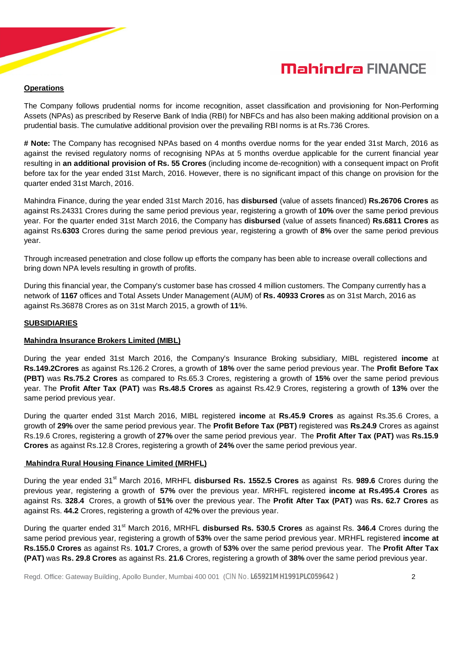# **Mahindra FINANCE**

## **Operations**

The Company follows prudential norms for income recognition, asset classification and provisioning for Non-Performing Assets (NPAs) as prescribed by Reserve Bank of India (RBI) for NBFCs and has also been making additional provision on a prudential basis. The cumulative additional provision over the prevailing RBI norms is at Rs.736 Crores.

**# Note:** The Company has recognised NPAs based on 4 months overdue norms for the year ended 31st March, 2016 as against the revised regulatory norms of recognising NPAs at 5 months overdue applicable for the current financial year resulting in **an additional provision of Rs. 55 Crores** (including income de-recognition) with a consequent impact on Profit before tax for the year ended 31st March, 2016. However, there is no significant impact of this change on provision for the quarter ended 31st March, 2016.

Mahindra Finance, during the year ended 31st March 2016, has **disbursed** (value of assets financed) **Rs.26706 Crores** as against Rs.24331 Crores during the same period previous year, registering a growth of **10%** over the same period previous year. For the quarter ended 31st March 2016, the Company has **disbursed** (value of assets financed) **Rs.6811 Crores** as against Rs.**6303** Crores during the same period previous year, registering a growth of **8%** over the same period previous year.

Through increased penetration and close follow up efforts the company has been able to increase overall collections and bring down NPA levels resulting in growth of profits.

During this financial year, the Company's customer base has crossed 4 million customers. The Company currently has a network of **1167** offices and Total Assets Under Management (AUM) of **Rs. 40933 Crores** as on 31st March, 2016 as against Rs.36878 Crores as on 31st March 2015, a growth of **11**%.

## **SUBSIDIARIES**

## **Mahindra Insurance Brokers Limited (MIBL)**

During the year ended 31st March 2016, the Company's Insurance Broking subsidiary, MIBL registered **income** at **Rs.149.2Crores** as against Rs.126.2 Crores, a growth of **18%** over the same period previous year. The **Profit Before Tax (PBT)** was **Rs.75.2 Crores** as compared to Rs.65.3 Crores, registering a growth of **15%** over the same period previous year. The **Profit After Tax (PAT)** was **Rs.48.5 Crores** as against Rs.42.9 Crores, registering a growth of **13%** over the same period previous year.

During the quarter ended 31st March 2016, MIBL registered **income** at **Rs.45.9 Crores** as against Rs.35.6 Crores, a growth of **29%** over the same period previous year. The **Profit Before Tax (PBT)** registered was **Rs.24.9** Crores as against Rs.19.6 Crores, registering a growth of **27%** over the same period previous year. The **Profit After Tax (PAT)** was **Rs.15.9 Crores** as against Rs.12.8 Crores, registering a growth of **24%** over the same period previous year.

## **Mahindra Rural Housing Finance Limited (MRHFL)**

During the year ended 31st March 2016, MRHFL **disbursed Rs. 1552.5 Crores** as against Rs. **989.6** Crores during the previous year, registering a growth of **57%** over the previous year. MRHFL registered **income at Rs.495.4 Crores** as against Rs. **328.4** Crores, a growth of **51%** over the previous year. The **Profit After Tax (PAT)** was **Rs. 62.7 Crores** as against Rs. **44.2** Crores, registering a growth of 42**%** over the previous year.

During the quarter ended 31<sup>st</sup> March 2016, MRHFL **disbursed Rs. 530.5 Crores** as against Rs. 346.4 Crores during the same period previous year, registering a growth of **53%** over the same period previous year. MRHFL registered **income at Rs.155.0 Crores** as against Rs. **101.7** Crores, a growth of **53%** over the same period previous year. The **Profit After Tax (PAT)** was **Rs. 29.8 Crores** as against Rs. **21.6** Crores, registering a growth of **38%** over the same period previous year.